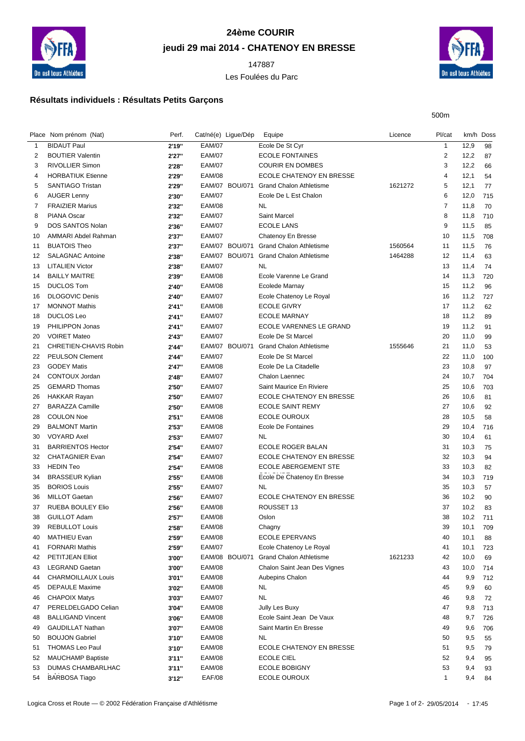

## **24ème COURIR jeudi 29 mai 2014 - CHATENOY EN BRESSE**

Les Foulées du Parc



500m

## **Résultats individuels : Résultats Petits Garçons**

|    | Place Nom prénom (Nat)    | Perf.  | Cat/né(e) Ligue/Dép |                | Equipe                         | Licence | Pl/cat         | km/h Doss |     |
|----|---------------------------|--------|---------------------|----------------|--------------------------------|---------|----------------|-----------|-----|
| 1  | <b>BIDAUT Paul</b>        | 2'19"  | <b>EAM/07</b>       |                | Ecole De St Cyr                |         | $\mathbf{1}$   | 12,9      | 98  |
| 2  | <b>BOUTIER Valentin</b>   | 2'27"  | <b>EAM/07</b>       |                | <b>ECOLE FONTAINES</b>         |         | $\overline{2}$ | 12,2      | 87  |
| 3  | <b>RIVOLLIER Simon</b>    | 2'28"  | <b>EAM/07</b>       |                | <b>COURIR EN DOMBES</b>        |         | 3              | 12,2      | 66  |
| 4  | <b>HORBATIUK Etienne</b>  | 2'29"  | <b>EAM/08</b>       |                | ECOLE CHATENOY EN BRESSE       |         | 4              | 12,1      | 54  |
| 5  | <b>SANTIAGO Tristan</b>   | 2'29"  |                     | EAM/07 BOU/071 | <b>Grand Chalon Athletisme</b> | 1621272 | 5              | 12,1      | 77  |
| 6  | <b>AUGER Lenny</b>        | 2'30"  | <b>EAM/07</b>       |                | Ecole De L Est Chalon          |         | 6              | 12,0      | 715 |
| 7  | <b>FRAIZIER Marius</b>    | 2'32"  | <b>EAM/08</b>       |                | NL                             |         | $\overline{7}$ | 11,8      | 70  |
| 8  | <b>PIANA Oscar</b>        | 2'32"  | <b>EAM/07</b>       |                | <b>Saint Marcel</b>            |         | 8              | 11,8      | 710 |
| 9  | DOS SANTOS Nolan          | 2'36"  | <b>EAM/07</b>       |                | <b>ECOLE LANS</b>              |         | 9              | 11,5      | 85  |
| 10 | AMMARI Abdel Rahman       | 2'37"  | <b>EAM/07</b>       |                | Chatenoy En Bresse             |         | 10             | 11,5      | 708 |
| 11 | <b>BUATOIS Theo</b>       | 2'37"  |                     | EAM/07 BOU/071 | <b>Grand Chalon Athletisme</b> | 1560564 | 11             | 11,5      | 76  |
| 12 | <b>SALAGNAC Antoine</b>   | 2'38"  |                     | EAM/07 BOU/071 | <b>Grand Chalon Athletisme</b> | 1464288 | 12             | 11,4      | 63  |
| 13 | <b>LITALIEN Victor</b>    | 2'38"  | <b>EAM/07</b>       |                | <b>NL</b>                      |         | 13             | 11,4      | 74  |
| 14 | <b>BAILLY MAITRE</b>      | 2'39"  | <b>EAM/08</b>       |                | Ecole Varenne Le Grand         |         | 14             | 11,3      | 720 |
| 15 | <b>DUCLOS Tom</b>         | 2'40"  | <b>EAM/08</b>       |                | <b>Ecolede Marnay</b>          |         | 15             | 11,2      | 96  |
| 16 | <b>DLOGOVIC Denis</b>     | 2'40"  | <b>EAM/07</b>       |                | Ecole Chatenoy Le Royal        |         | 16             | 11,2      | 727 |
| 17 | <b>MONNOT Mathis</b>      | 2'41'' | <b>EAM/08</b>       |                | <b>ECOLE GIVRY</b>             |         | 17             | 11,2      | 62  |
| 18 | <b>DUCLOS Leo</b>         | 2'41"  | <b>EAM/07</b>       |                | <b>ECOLE MARNAY</b>            |         | 18             | 11,2      | 89  |
| 19 | PHILIPPON Jonas           | 2'41"  | <b>EAM/07</b>       |                | ECOLE VARENNES LE GRAND        |         | 19             | 11,2      | 91  |
| 20 | <b>VOIRET Mateo</b>       | 2'43"  | <b>EAM/07</b>       |                | Ecole De St Marcel             |         | 20             | 11,0      | 99  |
| 21 | CHRETIEN-CHAVIS Robin     | 2'44"  |                     | EAM/07 BOU/071 | <b>Grand Chalon Athletisme</b> | 1555646 | 21             | 11,0      | 53  |
| 22 | <b>PEULSON Clement</b>    | 2'44"  | <b>EAM/07</b>       |                | Ecole De St Marcel             |         | 22             | 11,0      | 100 |
| 23 | <b>GODEY Matis</b>        | 2'47"  | <b>EAM/08</b>       |                | Ecole De La Citadelle          |         | 23             | 10,8      | 97  |
| 24 | CONTOUX Jordan            | 2'48"  | <b>EAM/07</b>       |                | Chalon Laennec                 |         | 24             | 10,7      | 704 |
| 25 | <b>GEMARD Thomas</b>      | 2'50"  | <b>EAM/07</b>       |                | Saint Maurice En Riviere       |         | 25             | 10,6      | 703 |
| 26 | <b>HAKKAR Rayan</b>       | 2'50"  | <b>EAM/07</b>       |                | ECOLE CHATENOY EN BRESSE       |         | 26             | 10,6      | 81  |
| 27 | <b>BARAZZA Camille</b>    | 2'50"  | <b>EAM/08</b>       |                | <b>ECOLE SAINT REMY</b>        |         | 27             | 10,6      | 92  |
| 28 | <b>COULON Noe</b>         | 2'51"  | <b>EAM/08</b>       |                | <b>ECOLE OUROUX</b>            |         | 28             | 10,5      | 58  |
| 29 | <b>BALMONT Martin</b>     | 2'53"  | <b>EAM/08</b>       |                | Ecole De Fontaines             |         | 29             | 10,4      | 716 |
| 30 | <b>VOYARD Axel</b>        | 2'53"  | <b>EAM/07</b>       |                | <b>NL</b>                      |         | 30             | 10,4      | 61  |
| 31 | <b>BARRIENTOS Hector</b>  | 2'54"  | <b>EAM/07</b>       |                | ECOLE ROGER BALAN              |         | 31             | 10,3      | 75  |
| 32 | <b>CHATAGNIER Evan</b>    | 2'54"  | <b>EAM/07</b>       |                | ECOLE CHATENOY EN BRESSE       |         | 32             | 10,3      | 94  |
| 33 | <b>HEDIN Teo</b>          | 2'54"  | <b>EAM/08</b>       |                | <b>ECOLE ABERGEMENT STE</b>    |         | 33             | 10,3      | 82  |
| 34 | <b>BRASSEUR Kylian</b>    | 2'55"  | <b>EAM/08</b>       |                | Ecole De Chatenoy En Bresse    |         | 34             | 10,3      | 719 |
| 35 | <b>BORIOS Louis</b>       | 2'55"  | <b>EAM/07</b>       |                | NL                             |         | 35             | 10,3      | 57  |
| 36 | <b>MILLOT Gaetan</b>      | 2'56"  | <b>EAM/07</b>       |                | ECOLE CHATENOY EN BRESSE       |         | 36             | 10,2      | 90  |
| 37 | <b>RUEBA BOULEY Elio</b>  | 2'56"  | <b>EAM/08</b>       |                | ROUSSET 13                     |         | 37             | 10,2      | 83  |
| 38 | <b>GUILLOT Adam</b>       | 2'57"  | <b>EAM/08</b>       |                | Oslon                          |         | 38             | 10,2      | 711 |
| 39 | <b>REBULLOT Louis</b>     | 2'58"  | <b>EAM/08</b>       |                | Chagny                         |         | 39             | 10,1      | 709 |
| 40 | MATHIEU Evan              | 2'59"  | <b>EAM/08</b>       |                | <b>ECOLE EPERVANS</b>          |         | 40             | 10,1      | 88  |
| 41 | <b>FORNARI Mathis</b>     | 2'59"  | <b>EAM/07</b>       |                | Ecole Chatenoy Le Royal        |         | 41             | 10,1      | 723 |
| 42 | PETITJEAN Elliot          | 3'00"  |                     | EAM/08 BOU/071 | <b>Grand Chalon Athletisme</b> | 1621233 | 42             | 10,0      | 69  |
| 43 | <b>LEGRAND Gaetan</b>     | 3'00"  | <b>EAM/08</b>       |                | Chalon Saint Jean Des Vignes   |         | 43             | 10,0      | 714 |
| 44 | <b>CHARMOILLAUX Louis</b> | 3'01"  | <b>EAM/08</b>       |                | Aubepins Chalon                |         | 44             | 9,9       | 712 |
| 45 | <b>DEPAULE Maxime</b>     | 3'02"  | <b>EAM/08</b>       |                | <b>NL</b>                      |         | 45             | 9,9       | 60  |
| 46 | <b>CHAPOIX Matys</b>      | 3'03"  | <b>EAM/07</b>       |                | <b>NL</b>                      |         | 46             | 9,8       | 72  |
| 47 | PERELDELGADO Celian       | 3'04"  | <b>EAM/08</b>       |                | Jully Les Buxy                 |         | 47             | 9,8       | 713 |
| 48 | <b>BALLIGAND Vincent</b>  | 3'06"  | <b>EAM/08</b>       |                | Ecole Saint Jean De Vaux       |         | 48             | 9,7       | 726 |
| 49 | <b>GAUDILLAT Nathan</b>   | 3'07"  | <b>EAM/08</b>       |                | Saint Martin En Bresse         |         | 49             | 9,6       | 706 |
| 50 | <b>BOUJON Gabriel</b>     | 3'10"  | <b>EAM/08</b>       |                | <b>NL</b>                      |         | 50             | 9,5       | 55  |
| 51 | <b>THOMAS Leo Paul</b>    | 3'10"  | <b>EAM/08</b>       |                | ECOLE CHATENOY EN BRESSE       |         | 51             | 9,5       | 79  |
| 52 | MAUCHAMP Baptiste         | 3'11'' | <b>EAM/08</b>       |                | <b>ECOLE CIEL</b>              |         | 52             | 9,4       | 95  |
| 53 | <b>DUMAS CHAMBARLHAC</b>  | 3'11'' | <b>EAM/08</b>       |                | <b>ECOLE BOBIGNY</b>           |         | 53             | 9,4       | 93  |
| 54 | <b>BARBOSA Tiago</b>      | 3'12"  | <b>EAF/08</b>       |                | ECOLE OUROUX                   |         | $\mathbf{1}$   | 9,4       | 84  |
|    |                           |        |                     |                |                                |         |                |           |     |